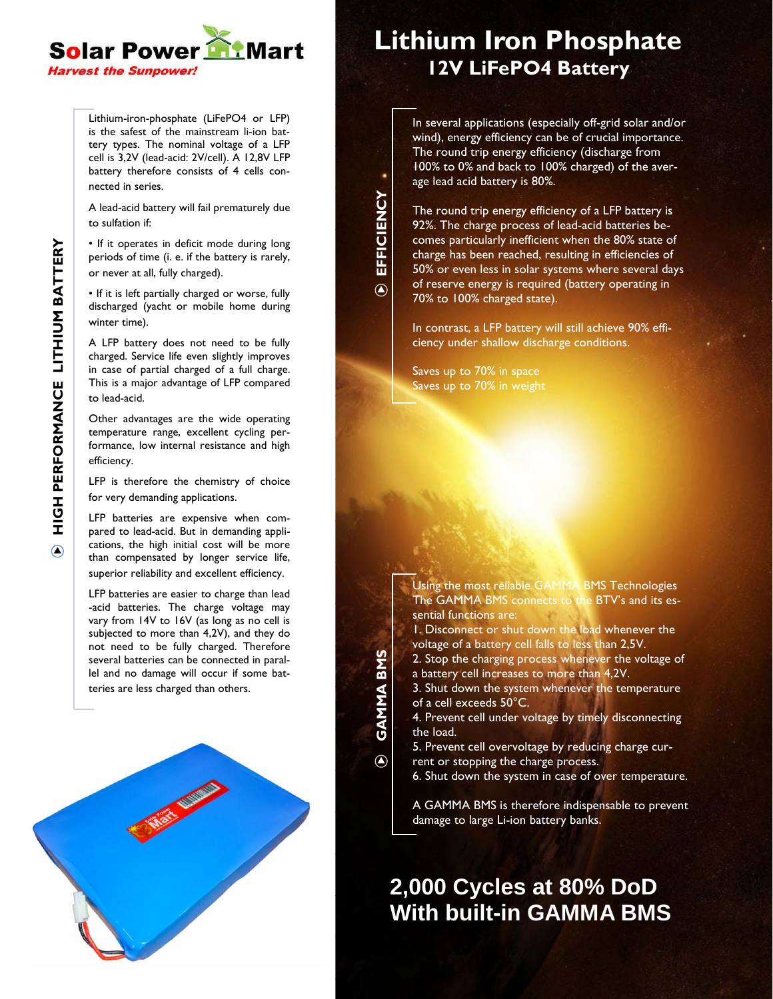

Lithium-iron-phosphate (LiFePO4 or LFP) is the safest of the mainstream li-ion battery types. The nominal voltage of a LFP cell is 3,2V (lead-acid: 2V/cell). A 12,8V LFP battery therefore consists of 4 cells connected in series.

A lead-acid battery will fail prematurely due to sulfation if:

• If it operates in deficit mode during long periods of time (i. e. if the battery is rarely, or never at all, fully charged).

•If it is left partially charged or worse, fully discharged (yacht or mobile home during winter time).

A LFP battery does not need to be fully charged. Service life even slightly improves in case of partial charged of a full charge. This is a major advantage of LFP compared to lead-acid.

Other advantages are the wide operating temperature range, excellent cycling performance, low internal resistance and high efficiency.

LFP is therefore the chemistry of choice for very demanding applications.

LFP batteries are expensive when compared to lead-acid. But in demanding applications, the high initial cost will be more than compensated by longer service life, superior reliability and excellent efficiency.

LFP batteries are easier to charge than lead -acid batteries. The charge voltage may vary from 14V to 16V (as long as no cell is subjected to more than 4,2V), and they do not need to be fully charged. Therefore several batteries can be connected in parallel and no damage will occur if some batteries are less charged than others.



## **Lithium Iron Phosphate 12V LiFePO4 Battery**

In several applications (especially off-grid solar and/or wind), energy efficiency can be of crucial importance. The round trip energy efficiency (discharge from 100% to 0% and back to 100% charged) of the average lead acid battery is 80%.

The round trip energy efficiency of a LFP battery is 92%. The charge process of lead-acid batteries becomes particularly inefficient when the 80% state of charge has been reached, resulting in efficiencies of 50% or even less in solar systems where several days of reserve energy is required (battery operating in 70% to 100% charged state).

In contrast, a LFP battery will still achieve 90% efficiency under shallow discharge conditions.

Saves up to 70% in space Saves up to 70% in weight

**EFFICIE**

 $\overline{\odot}$ 

**GAMMABMS**

 $\odot$ 

**NCY**

> Using the most reliable GAMMA BMS Technologies The GAMMA BMS connects to the BTV's and its essential functions are: 1. Disconnect or shut down the load whenever the voltage of a battery cell falls to less than 2,5V. 2. Stop the charging process whenever the voltage of a battery cell increases to more than 4,2V. 3. Shut down the system whenever the temperature of a cell exceeds 50°C. 4. Prevent cell under voltage by timely disconnecting the load. 5. Prevent cell overvoltage by reducing charge current or stopping the charge process. 6. Shut down the system in case of over temperature.

A GAMMA BMS is therefore indispensable to prevent damage to large Li-ion battery banks.

### **2,000 Cycles at 80% DoD With built-in GAMMA BMS**